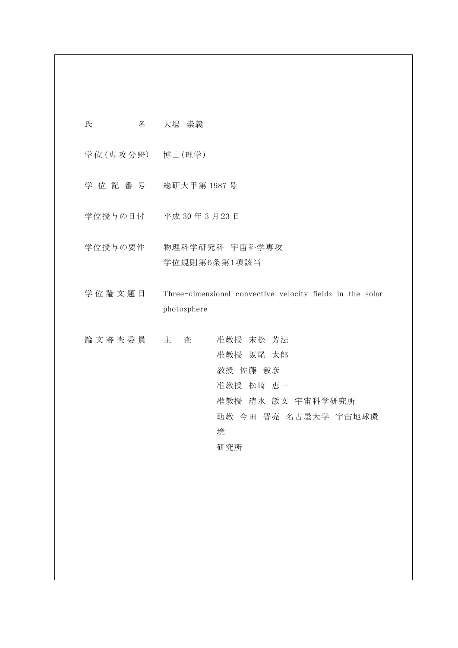| 氏 | 名 | 大場 崇義 |
|---|---|-------|
|   |   |       |

学位 (専攻分野) 博士 (理学)

- 学 位 記 番 号 総研大甲第 1987 号
- 学位授与の日付 平成 30 年 3 月23 日
- 学位授与の要件 物理科学研究科 宇宙科学専攻 学位規則第6条第1項該当
- 学位論文題目 Three-dimensional convective velocity fields in the solar photosphere

論 文 審 査 委 員 主 查 在 准教授 末松 芳法 准教授 坂尾 太郎 教授 佐藤 毅彦 准教授 松崎 恵一 准教授 清水 敏文 宇宙科学研究所 助教 今田 晋亮 名古屋大学 宇宙地球環 境 研究所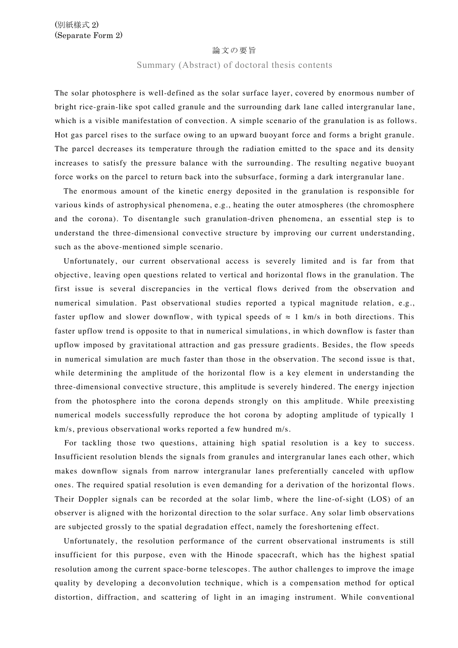#### 論文の要旨

### Summary (Abstract) of doctoral thesis contents

The solar photosphere is well-defined as the solar surface layer, covered by enormous number of bright rice-grain-like spot called granule and the surrounding dark lane called intergranular lane, which is a visible manifestation of convection. A simple scenario of the granulation is as follows. Hot gas parcel rises to the surface owing to an upward buoyant force and forms a bright granule. The parcel decreases its temperature through the radiation emitted to the space and its density increases to satisfy the pressure balance with the surrounding. The resulting negative buoyant force works on the parcel to return back into the subsurface, forming a dark intergranular lane.

The enormous amount of the kinetic energy deposited in the granulation is responsible for various kinds of astrophysical phenomena, e.g., heating the outer atmospheres (the chromosphere and the corona). To disentangle such granulation-driven phenomena, an essential step is to understand the three-dimensional convective structure by improving our current understanding, such as the above-mentioned simple scenario.

 Unfortunately, our current observational access is severely limited and is far from that objective, leaving open questions related to vertical and horizontal flows in the granulation. The first issue is several discrepancies in the vertical flows derived from the observation and numerical simulation. Past observational studies reported a typical magnitude relation, e.g., faster upflow and slower downflow, with typical speeds of  $\approx 1$  km/s in both directions. This faster upflow trend is opposite to that in numerical simulations, in which downflow is faster than upflow imposed by gravitational attraction and gas pressure gradients. Besides, the flow speeds in numerical simulation are much faster than those in the observation. The second issue is that, while determining the amplitude of the horizontal flow is a key element in understanding the three-dimensional convective structure, this amplitude is severely hindered. The energy injection from the photosphere into the corona depends strongly on this amplitude. While preexisting numerical models successfully reproduce the hot corona by adopting amplitude of typically 1 km/s, previous observational works reported a few hundred m/s.

For tackling those two questions, attaining high spatial resolution is a key to success. Insufficient resolution blends the signals from granules and intergranular lanes each other, which makes downflow signals from narrow intergranular lanes preferentially canceled with upflow ones. The required spatial resolution is even demanding for a derivation of the horizontal flows. Their Doppler signals can be recorded at the solar limb, where the line-of-sight (LOS) of an observer is aligned with the horizontal direction to the solar surface. Any solar limb observations are subjected grossly to the spatial degradation effect, namely the foreshortening effect.

Unfortunately, the resolution performance of the current observational instruments is still insufficient for this purpose, even with the Hinode spacecraft, which has the highest spatial resolution among the current space-borne telescopes. The author challenges to improve the image quality by developing a deconvolution technique, which is a compensation method for optical distortion, diffraction, and scattering of light in an imaging instrument. While conventional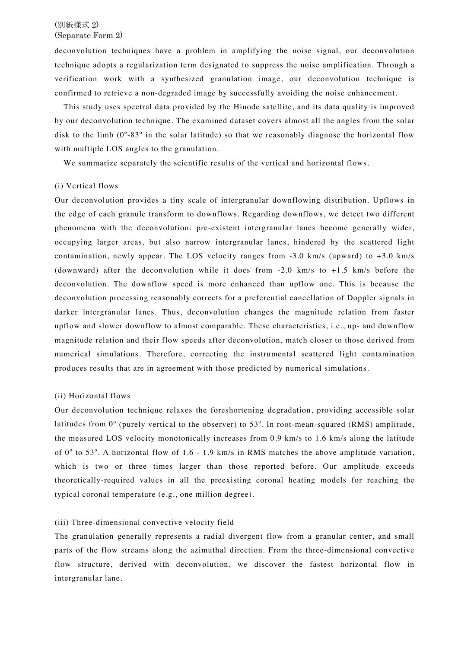# (別紙様式 2) (Separate Form 2)

deconvolution techniques have a problem in amplifying the noise signal, our deconvolution technique adopts a regularization term designated to suppress the noise amplification. Through a verification work with a synthesized granulation image, our deconvolution technique is confirmed to retrieve a non-degraded image by successfully avoiding the noise enhancement.

This study uses spectral data provided by the Hinode satellite, and its data quality is improved by our deconvolution technique. The examined dataset covers almost all the angles from the solar disk to the limb  $(0^{\circ} - 83^{\circ})$  in the solar latitude) so that we reasonably diagnose the horizontal flow with multiple LOS angles to the granulation.

We summarize separately the scientific results of the vertical and horizontal flows.

### (i) Vertical flows

Our deconvolution provides a tiny scale of intergranular downflowing distribution. Upflows in the edge of each granule transform to downflows. Regarding downflows, we detect two different phenomena with the deconvolution: pre-existent intergranular lanes become generally wider, occupying larger areas, but also narrow intergranular lanes, hindered by the scattered light contamination, newly appear. The LOS velocity ranges from -3.0 km/s (upward) to +3.0 km/s (downward) after the deconvolution while it does from -2.0 km/s to +1.5 km/s before the deconvolution. The downflow speed is more enhanced than upflow one. This is because the deconvolution processing reasonably corrects for a preferential cancellation of Doppler signals in darker intergranular lanes. Thus, deconvolution changes the magnitude relation from faster upflow and slower downflow to almost comparable. These characteristics, i.e., up- and downflow magnitude relation and their flow speeds after deconvolution, match closer to those derived from numerical simulations. Therefore, correcting the instrumental scattered light contamination produces results that are in agreement with those predicted by numerical simulations.

# (ii) Horizontal flows

Our deconvolution technique relaxes the foreshortening degradation, providing accessible solar latitudes from  $0^{\circ}$  (purely vertical to the observer) to 53 $^{\circ}$ . In root-mean-squared (RMS) amplitude, the measured LOS velocity monotonically increases from 0.9 km/s to 1.6 km/s along the latitude of  $0^{\circ}$  to 53°. A horizontal flow of 1.6 - 1.9 km/s in RMS matches the above amplitude variation, which is two or three times larger than those reported before. Our amplitude exceeds theoretically-required values in all the preexisting coronal heating models for reaching the typical coronal temperature (e.g., one million degree).

# (iii) Three-dimensional convective velocity field

The granulation generally represents a radial divergent flow from a granular center, and small parts of the flow streams along the azimuthal direction. From the three-dimensional convective flow structure, derived with deconvolution, we discover the fastest horizontal flow in intergranular lane.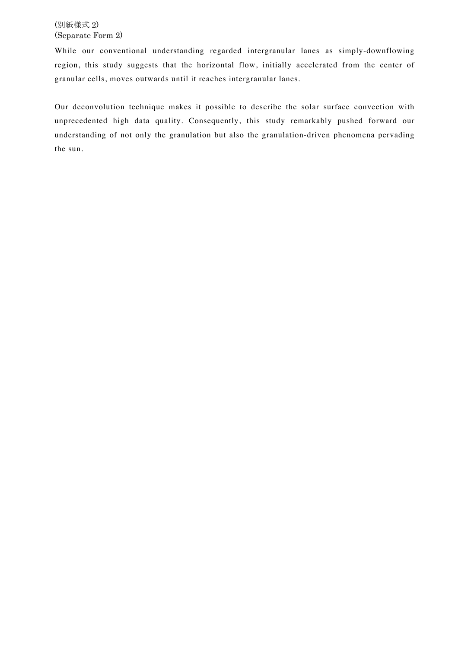# (別紙様式 2) (Separate Form 2)

While our conventional understanding regarded intergranular lanes as simply-downflowing region, this study suggests that the horizontal flow, initially accelerated from the center of granular cells, moves outwards until it reaches intergranular lanes.

Our deconvolution technique makes it possible to describe the solar surface convection with unprecedented high data quality. Consequently, this study remarkably pushed forward our understanding of not only the granulation but also the granulation-driven phenomena pervading the sun.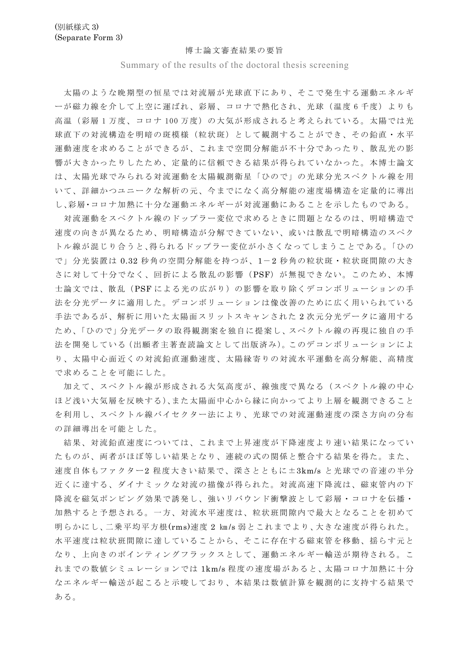#### 博士論文審査結果の要旨

Summary of the results of the doctoral thesis screening

太陽のような晩期型の恒星では対流層が光球直下にあり、そこで発生する運動エネルギ 一が磁力線を介して上空に運ばれ、彩層、コロナで熱化され、光球(温度6千度)よりも 高温(彩層1万度、コロナ100万度)の大気が形成されると考えられている。太陽では光 球直下の対流構造を明暗の斑模様(粒状斑)として観測することができ、その鉛直・水平 運動速度を求めることができるが、これまで空間分解能が不十分であったり、散乱光の影 響が大きかったりしたため、定量的に信頼できる結果が得られていなかった。本博士論文 は、太陽光球でみられる対流運動を太陽観測衛星「ひので」の光球分光スペクトル線を用 いて、詳細かつユニークな解析の元、今までになく高分解能の速度場構造を定量的に導出 し、彩層・コロナ加熱に十分な運動エネルギーが対流運動にあることを示したものである。

対流運動をスペクトル線のドップラー変位で求めるときに問題となるのは、明暗構造で 速度の向きが異なるため、明暗構造が分解できていない、或いは散乱で明暗構造のスペク トル線が混じり合うと、得られるドップラー変位が小さくなってしまうことである。「ひの で」分光装置は0.32 秒角の空間分解能を持つが、1-2 秒角の粒状斑・粒状斑間隙の大き さに対して十分でなく、回折による散乱の影響(PSF)が無視できない。このため、本博 士論文では、散乱 (PSFによる光の広がり) の影響を取り除くデコンボリューションの手 法を分光データに適用した。デコンボリューションは像改善のために広く用いられている 手法であるが、解析に用いた太陽面スリットスキャンされた2次元分光データに適用する ため、「ひので」分光データの取得観測案を独自に提案し、スペクトル線の再現に独自の手 法を開発している (出願者主著査読論文として出版済み)。このデコンボリューションによ り、太陽中心面近くの対流鉛直運動速度、太陽縁寄りの対流水平運動を高分解能、高精度 で求めることを可能にした。

加えて、スペクトル線が形成される大気高度が、線強度で異なる(スペクトル線の中心 ほど浅い大気層を反映する)、また太陽面中心から縁に向かってより上層を観測できること を利用し、スペクトル線バイセクター法により、光球での対流運動速度の深さ方向の分布 の詳細導出を可能とした。

結果、対流鉛直速度については、これまで上昇速度が下降速度より速い結果になってい たものが、両者がほぼ等しい結果となり、連続の式の関係と整合する結果を得た。また、 速度自体もファクター2程度大きい結果で、深さとともに±3km/s と光球での音速の半分 近くに達する、ダイナミックな対流の描像が得られた。対流高速下降流は、磁束管内の下 降流を磁気ポンピング効果で誘発し、強いリバウンド衝撃波として彩層・コロナを伝播・ 加熱すると予想される。一方、対流水平速度は、粒状班間隙内で最大となることを初めて 明らかにし、二乗平均平方根(rms)速度2 km/s 弱とこれまでより、大きな速度が得られた。 水平速度は粒状班間隙に達していることから、そこに存在する磁束管を移動、揺らす元と なり、上向きのポインティングフラックスとして、運動エネルギー輸送が期待される。こ れまでの数値シミュレーションでは 1km/s程度の速度場があると、太陽コロナ加熱に十分 なエネルギー輸送が起こると示唆しており、本結果は数値計算を観測的に支持する結果で ある。